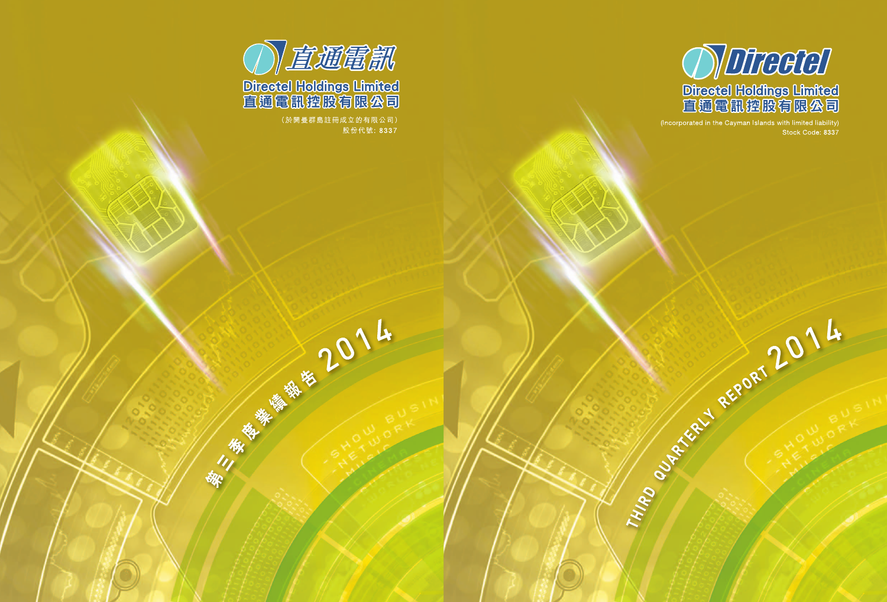

(Incorporated in the Cayman Islands with limited liability) Stock Code: 8337

Tripe of Referred Reports 2014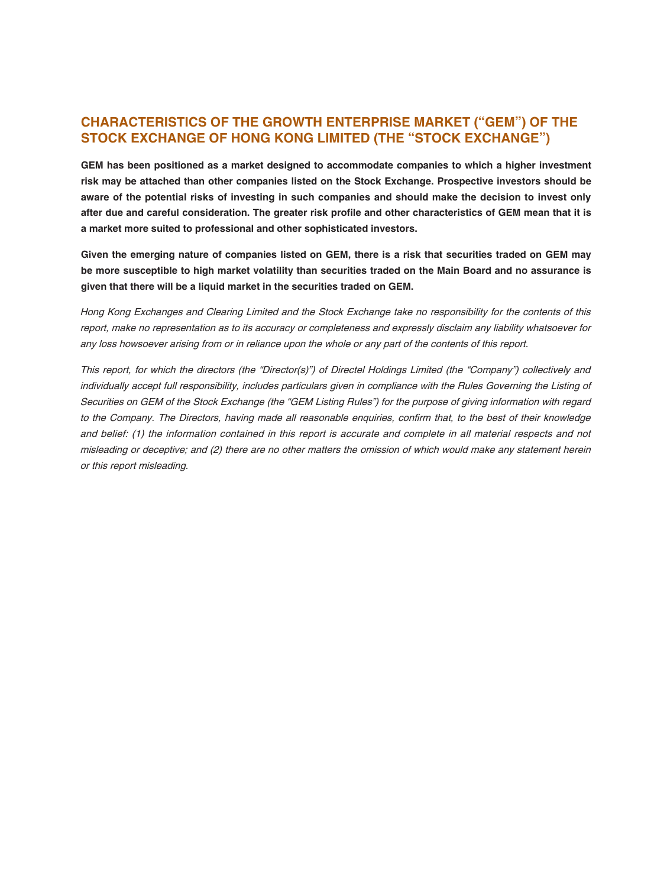# **CHARACTERISTICS OF THE GROWTH ENTERPRISE MARKET ("GEM") OF THE STOCK EXCHANGE OF HONG KONG LIMITED (THE "STOCK EXCHANGE")**

**GEM has been positioned as a market designed to accommodate companies to which a higher investment risk may be attached than other companies listed on the Stock Exchange. Prospective investors should be** aware of the potential risks of investing in such companies and should make the decision to invest only after due and careful consideration. The greater risk profile and other characteristics of GEM mean that it is **a market more suited to professional and other sophisticated investors.**

Given the emerging nature of companies listed on GEM, there is a risk that securities traded on GEM may be more susceptible to high market volatility than securities traded on the Main Board and no assurance is **given that there will be a liquid market in the securities traded on GEM.**

Hong Kong Exchanges and Clearing Limited and the Stock Exchange take no responsibility for the contents of this report, make no representation as to its accuracy or completeness and expressly disclaim any liability whatsoever for any loss howsoever arising from or in reliance upon the whole or any part of the contents of this report.

This report, for which the directors (the "Director(s)") of Directel Holdings Limited (the "Company") collectively and individually accept full responsibility, includes particulars given in compliance with the Rules Governing the Listing of Securities on GEM of the Stock Exchange (the "GEM Listing Rules") for the purpose of giving information with regard to the Company. The Directors, having made all reasonable enquiries, confirm that, to the best of their knowledge and belief: (1) the information contained in this report is accurate and complete in all material respects and not misleading or deceptive; and (2) there are no other matters the omission of which would make any statement herein or this report misleading.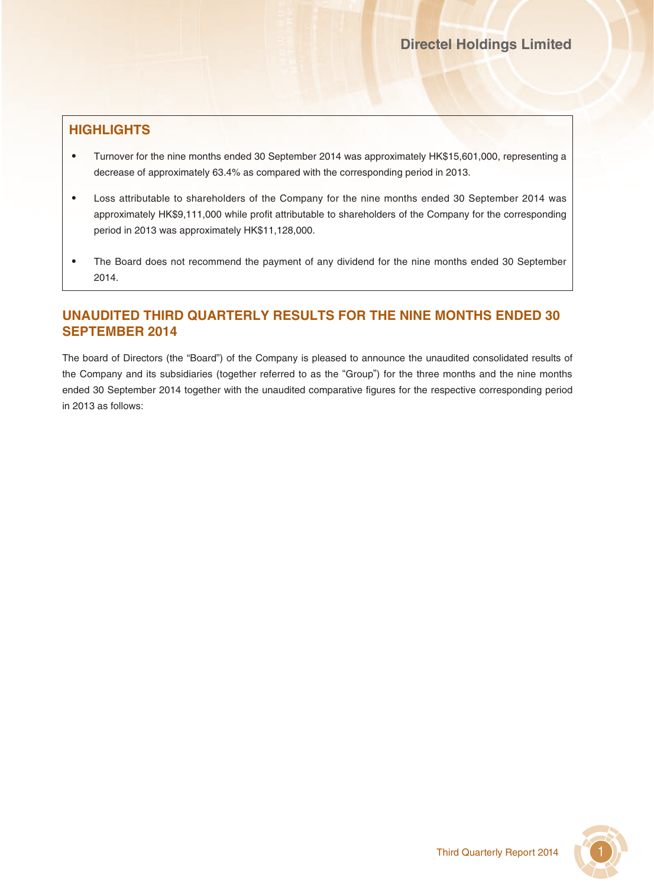# **HIGHLIGHTS**

- ‧ Turnover for the nine months ended 30 September 2014 was approximately HK\$15,601,000, representing a decrease of approximately 63.4% as compared with the corresponding period in 2013.
- Loss attributable to shareholders of the Company for the nine months ended 30 September 2014 was approximately HK\$9,111,000 while profit attributable to shareholders of the Company for the corresponding period in 2013 was approximately HK\$11,128,000.
- The Board does not recommend the payment of any dividend for the nine months ended 30 September 2014.

# **UNAUDITED THIRD QUARTERLY RESULTS FOR THE NINE MONTHS ENDED 30 SEPTEMBER 2014**

The board of Directors (the "Board") of the Company is pleased to announce the unaudited consolidated results of the Company and its subsidiaries (together referred to as the "Group") for the three months and the nine months ended 30 September 2014 together with the unaudited comparative figures for the respective corresponding period in 2013 as follows:

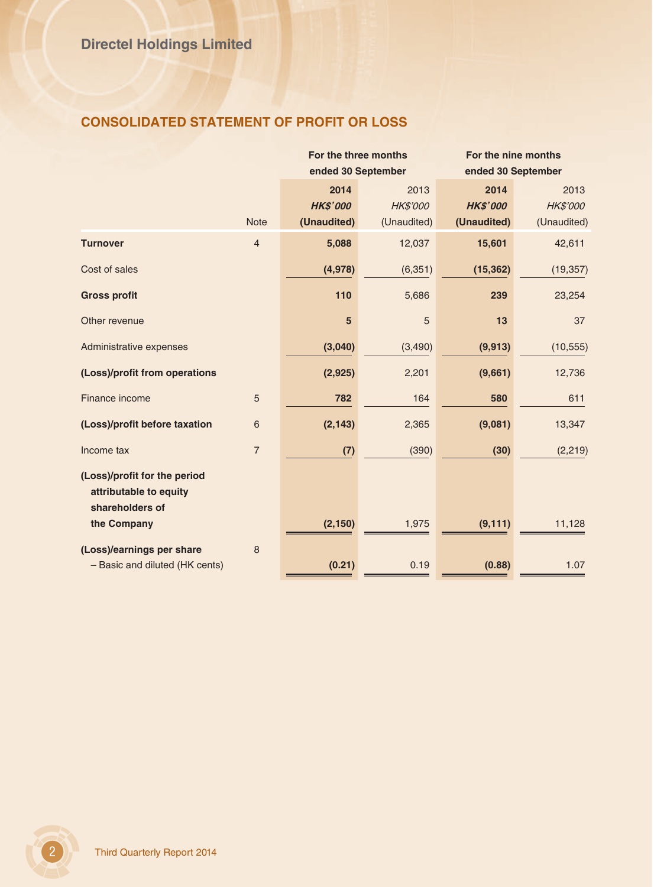# **CONSOLIDATED STATEMENT OF PROFIT OR LOSS**

|                                                                           |                | For the three months    |                         | For the nine months     |                         |
|---------------------------------------------------------------------------|----------------|-------------------------|-------------------------|-------------------------|-------------------------|
|                                                                           |                | ended 30 September      |                         | ended 30 September      |                         |
|                                                                           |                | 2014<br><b>HK\$'000</b> | 2013<br><b>HK\$'000</b> | 2014<br><b>HK\$'000</b> | 2013<br><b>HK\$'000</b> |
|                                                                           | <b>Note</b>    | (Unaudited)             | (Unaudited)             | (Unaudited)             | (Unaudited)             |
| <b>Turnover</b>                                                           | $\overline{4}$ | 5,088                   | 12,037                  | 15,601                  | 42,611                  |
| Cost of sales                                                             |                | (4,978)                 | (6, 351)                | (15, 362)               | (19, 357)               |
| <b>Gross profit</b>                                                       |                | 110                     | 5,686                   | 239                     | 23,254                  |
| Other revenue                                                             |                | 5                       | 5                       | 13                      | 37                      |
| Administrative expenses                                                   |                | (3,040)                 | (3,490)                 | (9, 913)                | (10, 555)               |
| (Loss)/profit from operations                                             |                | (2,925)                 | 2,201                   | (9,661)                 | 12,736                  |
| Finance income                                                            | $\sqrt{5}$     | 782                     | 164                     | 580                     | 611                     |
| (Loss)/profit before taxation                                             | 6              | (2, 143)                | 2,365                   | (9,081)                 | 13,347                  |
| Income tax                                                                | $\overline{7}$ | (7)                     | (390)                   | (30)                    | (2, 219)                |
| (Loss)/profit for the period<br>attributable to equity<br>shareholders of |                |                         |                         |                         |                         |
| the Company                                                               |                | (2, 150)                | 1,975                   | (9, 111)                | 11,128                  |
| (Loss)/earnings per share                                                 | 8              |                         |                         |                         |                         |
| - Basic and diluted (HK cents)                                            |                | (0.21)                  | 0.19                    | (0.88)                  | 1.07                    |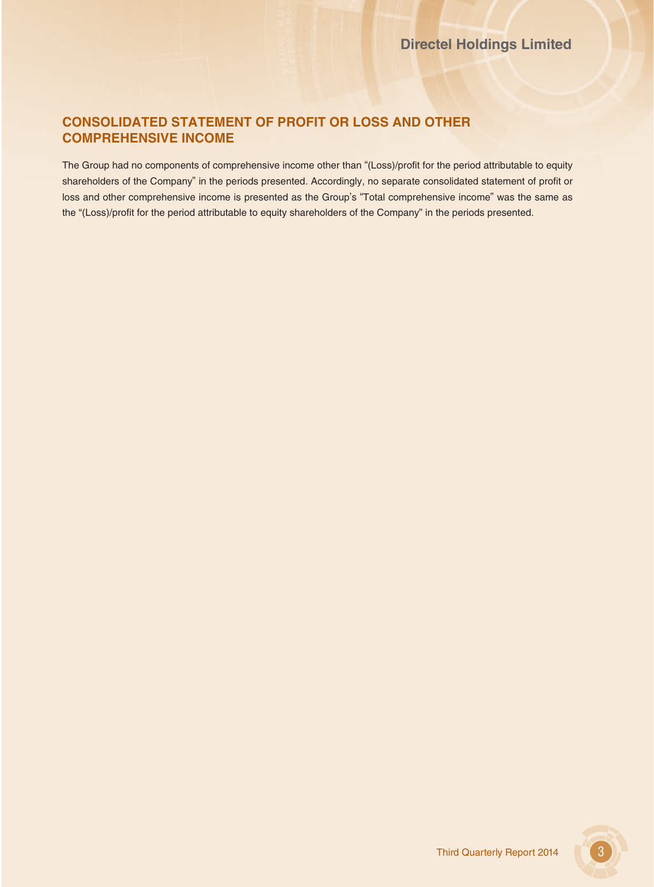# **CONSOLIDATED STATEMENT OF PROFIT OR LOSS AND OTHER COMPREHENSIVE INCOME**

The Group had no components of comprehensive income other than "(Loss)/profit for the period attributable to equity shareholders of the Company" in the periods presented. Accordingly, no separate consolidated statement of profit or loss and other comprehensive income is presented as the Group's "Total comprehensive income" was the same as the "(Loss)/profit for the period attributable to equity shareholders of the Company" in the periods presented.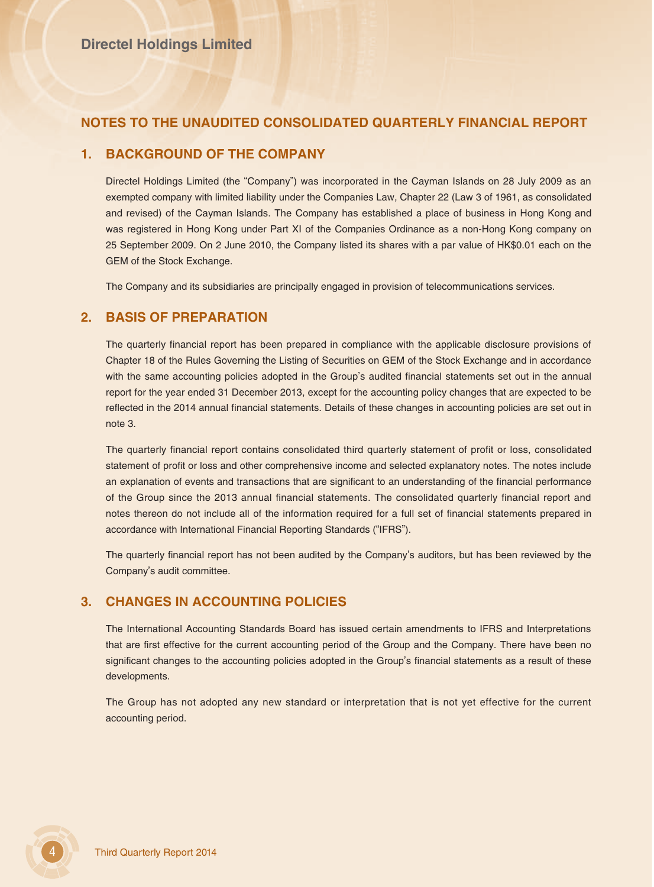## **NOTES TO THE UNAUDITED CONSOLIDATED QUARTERLY FINANCIAL REPORT**

### **1. BACKGROUND OF THE COMPANY**

Directel Holdings Limited (the "Company") was incorporated in the Cayman Islands on 28 July 2009 as an exempted company with limited liability under the Companies Law, Chapter 22 (Law 3 of 1961, as consolidated and revised) of the Cayman Islands. The Company has established a place of business in Hong Kong and was registered in Hong Kong under Part XI of the Companies Ordinance as a non-Hong Kong company on 25 September 2009. On 2 June 2010, the Company listed its shares with a par value of HK\$0.01 each on the GEM of the Stock Exchange.

The Company and its subsidiaries are principally engaged in provision of telecommunications services.

### **2. BASIS OF PREPARATION**

The quarterly financial report has been prepared in compliance with the applicable disclosure provisions of Chapter 18 of the Rules Governing the Listing of Securities on GEM of the Stock Exchange and in accordance with the same accounting policies adopted in the Group's audited financial statements set out in the annual report for the year ended 31 December 2013, except for the accounting policy changes that are expected to be reflected in the 2014 annual financial statements. Details of these changes in accounting policies are set out in note 3.

The quarterly financial report contains consolidated third quarterly statement of profit or loss, consolidated statement of profit or loss and other comprehensive income and selected explanatory notes. The notes include an explanation of events and transactions that are significant to an understanding of the financial performance of the Group since the 2013 annual financial statements. The consolidated quarterly financial report and notes thereon do not include all of the information required for a full set of financial statements prepared in accordance with International Financial Reporting Standards ("IFRS").

The quarterly financial report has not been audited by the Company's auditors, but has been reviewed by the Company's audit committee.

### **3. CHANGES IN ACCOUNTING POLICIES**

The International Accounting Standards Board has issued certain amendments to IFRS and Interpretations that are first effective for the current accounting period of the Group and the Company. There have been no significant changes to the accounting policies adopted in the Group's financial statements as a result of these developments.

The Group has not adopted any new standard or interpretation that is not yet effective for the current accounting period.

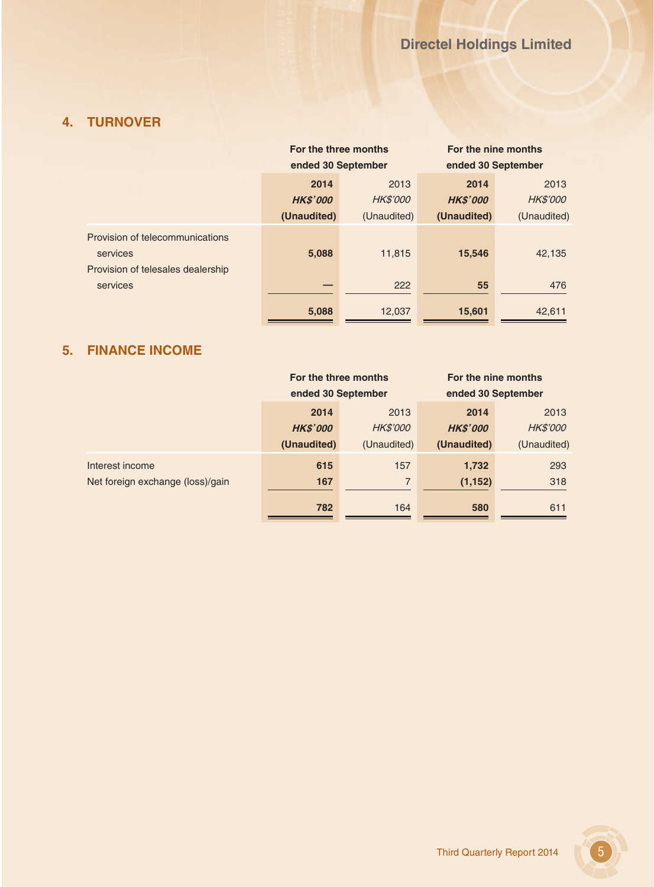# **4. TURNOVER**

|                                               | For the three months |                 | For the nine months |                 |
|-----------------------------------------------|----------------------|-----------------|---------------------|-----------------|
|                                               | ended 30 September   |                 | ended 30 September  |                 |
|                                               | 2014                 | 2013            | 2014                | 2013            |
|                                               | <b>HK\$'000</b>      | <b>HK\$'000</b> | <b>HKS'000</b>      | <b>HK\$'000</b> |
|                                               | (Unaudited)          | (Unaudited)     | (Unaudited)         | (Unaudited)     |
| Provision of telecommunications<br>services   | 5,088                | 11,815          | 15,546              | 42,135          |
| Provision of telesales dealership<br>services |                      | 222             | 55                  | 476             |
|                                               | 5,088                | 12,037          | 15,601              | 42,611          |

# **5. FINANCE INCOME**

|                                  | For the three months<br>ended 30 September |                 | For the nine months<br>ended 30 September |                 |
|----------------------------------|--------------------------------------------|-----------------|-------------------------------------------|-----------------|
|                                  | 2014                                       | 2013            | 2014                                      | 2013            |
|                                  | <b>HK\$'000</b>                            | <b>HK\$'000</b> | <b>HK\$'000</b>                           | <b>HK\$'000</b> |
|                                  | (Unaudited)                                | (Unaudited)     | (Unaudited)                               | (Unaudited)     |
| Interest income                  | 615                                        | 157             | 1,732                                     | 293             |
| Net foreign exchange (loss)/gain | 167                                        | 7               | (1, 152)                                  | 318             |
|                                  | 782                                        | 164             | 580                                       | 611             |

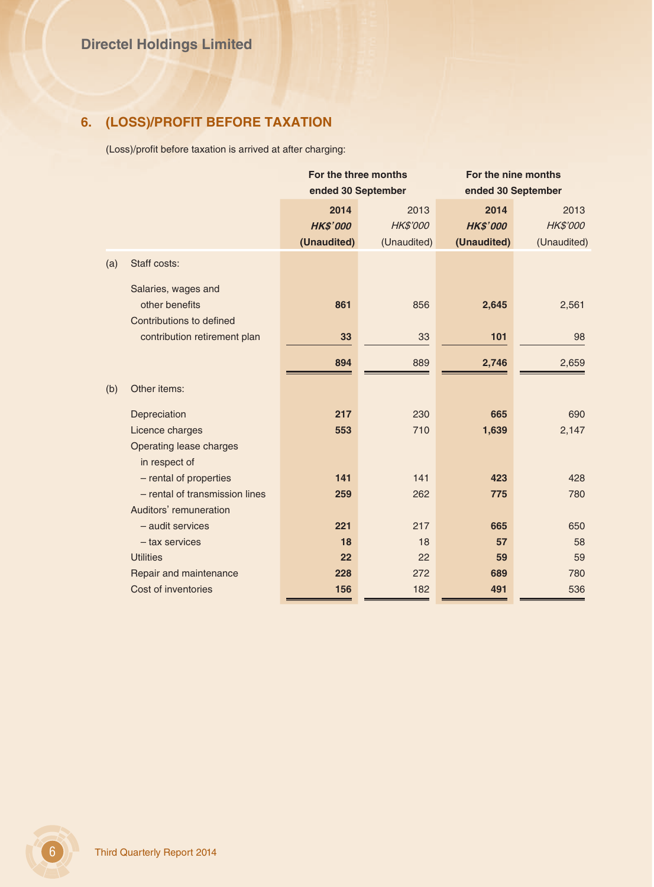# **6. (LOSS)/PROFIT BEFORE TAXATION**

(Loss)/profit before taxation is arrived at after charging:

| For the three months |                 | For the nine months |                    |
|----------------------|-----------------|---------------------|--------------------|
| ended 30 September   |                 |                     |                    |
| 2014                 | 2013            | 2014                | 2013               |
| <b>HK\$'000</b>      | <b>HK\$'000</b> | <b>HK\$'000</b>     | <b>HK\$'000</b>    |
| (Unaudited)          | (Unaudited)     | (Unaudited)         | (Unaudited)        |
|                      |                 |                     |                    |
|                      |                 |                     |                    |
| 861                  | 856             | 2,645               | 2,561              |
|                      |                 |                     |                    |
| 33                   | 33              | 101                 | 98                 |
| 894                  | 889             | 2,746               | 2,659              |
|                      |                 |                     |                    |
| 217                  | 230             | 665                 | 690                |
| 553                  | 710             | 1,639               | 2,147              |
|                      |                 |                     |                    |
|                      |                 |                     |                    |
| 141                  | 141             | 423                 | 428                |
| 259                  | 262             | 775                 | 780                |
|                      |                 |                     |                    |
| 221                  | 217             | 665                 | 650                |
| 18                   | 18              | 57                  | 58                 |
| 22                   | 22              | 59                  | 59                 |
| 228                  | 272             | 689                 | 780                |
| 156                  | 182             | 491                 | 536                |
|                      |                 |                     | ended 30 September |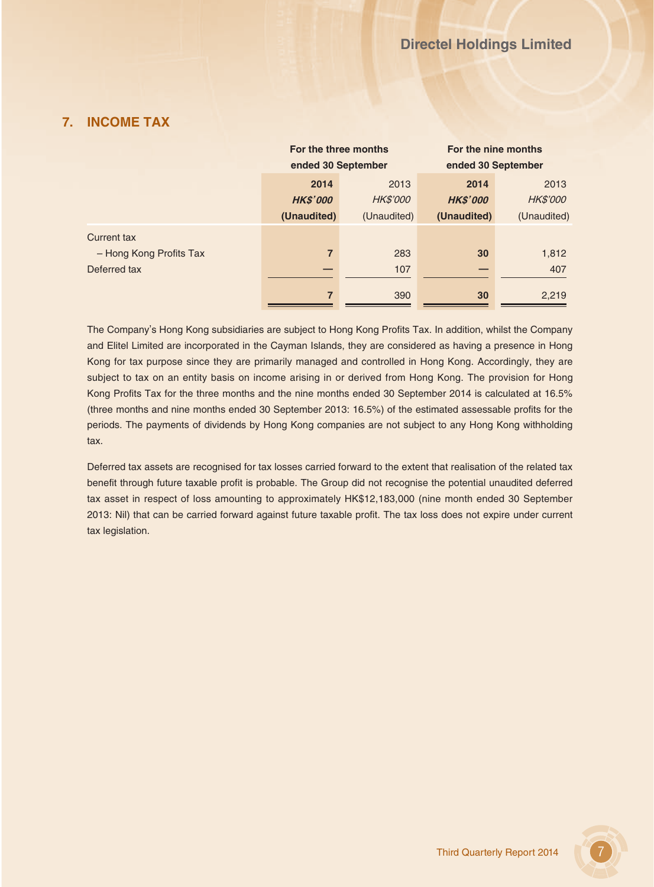# **7. INCOME TAX**

|                         | For the three months |                 | For the nine months |                 |
|-------------------------|----------------------|-----------------|---------------------|-----------------|
|                         | ended 30 September   |                 | ended 30 September  |                 |
|                         | 2014                 | 2013            | 2014                | 2013            |
|                         | <b>HK\$'000</b>      | <b>HK\$'000</b> | <b>HK\$'000</b>     | <b>HK\$'000</b> |
|                         | (Unaudited)          | (Unaudited)     | (Unaudited)         | (Unaudited)     |
| Current tax             |                      |                 |                     |                 |
| - Hong Kong Profits Tax | 7                    | 283             | 30                  | 1,812           |
| Deferred tax            |                      | 107             |                     | 407             |
|                         | 7                    | 390             | 30                  | 2,219           |

The Company's Hong Kong subsidiaries are subject to Hong Kong Profits Tax. In addition, whilst the Company and Elitel Limited are incorporated in the Cayman Islands, they are considered as having a presence in Hong Kong for tax purpose since they are primarily managed and controlled in Hong Kong. Accordingly, they are subject to tax on an entity basis on income arising in or derived from Hong Kong. The provision for Hong Kong Profits Tax for the three months and the nine months ended 30 September 2014 is calculated at 16.5% (three months and nine months ended 30 September 2013: 16.5%) of the estimated assessable profits for the periods. The payments of dividends by Hong Kong companies are not subject to any Hong Kong withholding tax.

Deferred tax assets are recognised for tax losses carried forward to the extent that realisation of the related tax benefit through future taxable profit is probable. The Group did not recognise the potential unaudited deferred tax asset in respect of loss amounting to approximately HK\$12,183,000 (nine month ended 30 September 2013: Nil) that can be carried forward against future taxable profit. The tax loss does not expire under current tax legislation.

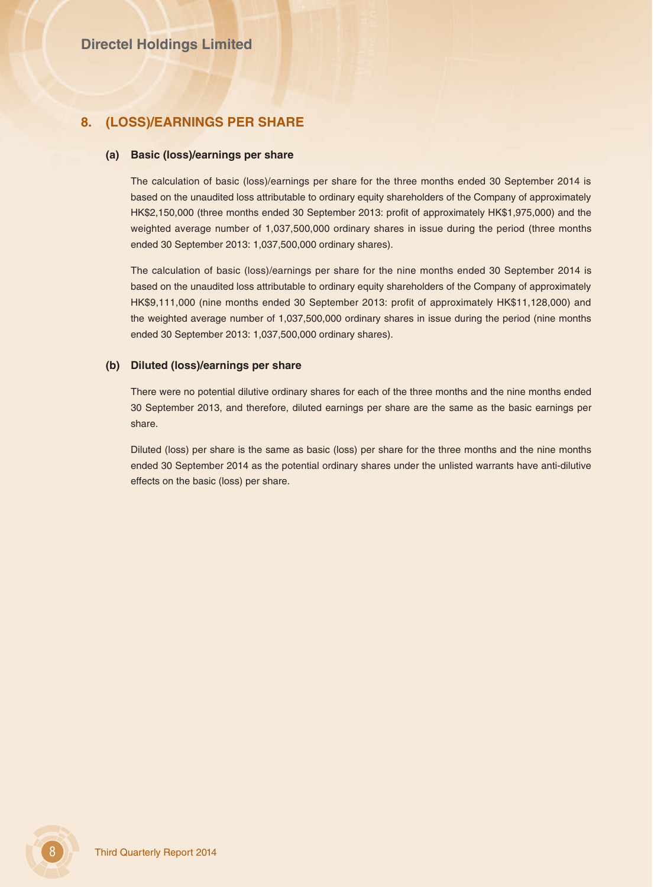### **8. (LOSS)/EARNINGS PER SHARE**

#### **(a) Basic (loss)/earnings per share**

The calculation of basic (loss)/earnings per share for the three months ended 30 September 2014 is based on the unaudited loss attributable to ordinary equity shareholders of the Company of approximately HK\$2,150,000 (three months ended 30 September 2013: profit of approximately HK\$1,975,000) and the weighted average number of 1,037,500,000 ordinary shares in issue during the period (three months ended 30 September 2013: 1,037,500,000 ordinary shares).

The calculation of basic (loss)/earnings per share for the nine months ended 30 September 2014 is based on the unaudited loss attributable to ordinary equity shareholders of the Company of approximately HK\$9,111,000 (nine months ended 30 September 2013: profit of approximately HK\$11,128,000) and the weighted average number of 1,037,500,000 ordinary shares in issue during the period (nine months ended 30 September 2013: 1,037,500,000 ordinary shares).

### **(b) Diluted (loss)/earnings per share**

There were no potential dilutive ordinary shares for each of the three months and the nine months ended 30 September 2013, and therefore, diluted earnings per share are the same as the basic earnings per share.

Diluted (loss) per share is the same as basic (loss) per share for the three months and the nine months ended 30 September 2014 as the potential ordinary shares under the unlisted warrants have anti-dilutive effects on the basic (loss) per share.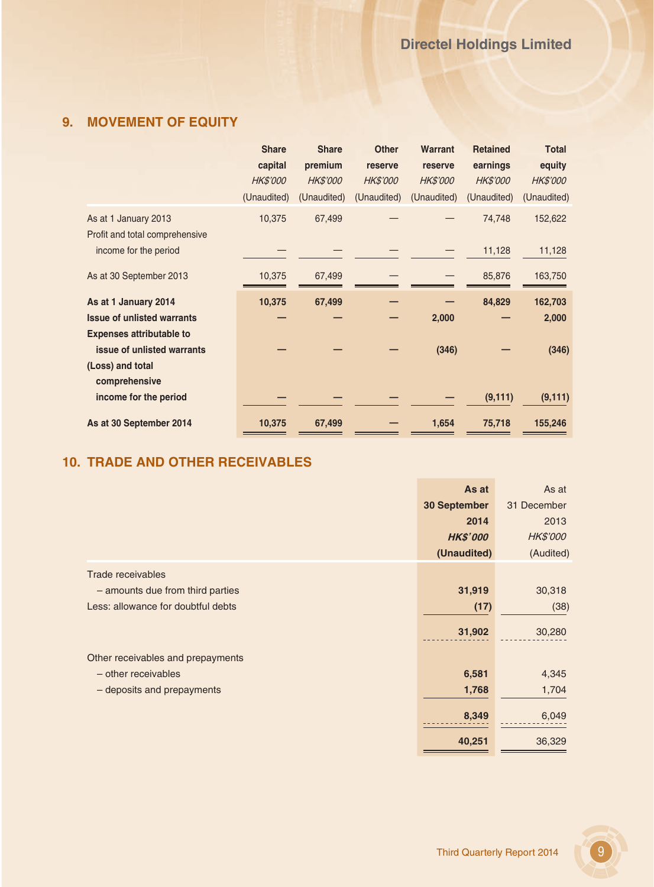# **9. MOVEMENT OF EQUITY**

|                                                        | <b>Share</b>    | <b>Share</b>    | <b>Other</b>    | <b>Warrant</b>  | <b>Retained</b> | <b>Total</b>    |
|--------------------------------------------------------|-----------------|-----------------|-----------------|-----------------|-----------------|-----------------|
|                                                        | capital         | premium         | reserve         | reserve         | earnings        | equity          |
|                                                        | <b>HK\$'000</b> | <b>HK\$'000</b> | <b>HK\$'000</b> | <b>HK\$'000</b> | <b>HK\$'000</b> | <b>HK\$'000</b> |
|                                                        | (Unaudited)     | (Unaudited)     | (Unaudited)     | (Unaudited)     | (Unaudited)     | (Unaudited)     |
| As at 1 January 2013<br>Profit and total comprehensive | 10,375          | 67,499          |                 |                 | 74,748          | 152,622         |
| income for the period                                  |                 |                 |                 |                 | 11,128          | 11,128          |
| As at 30 September 2013                                | 10,375          | 67,499          |                 |                 | 85,876          | 163,750         |
|                                                        |                 |                 |                 |                 |                 |                 |
| As at 1 January 2014                                   | 10,375          | 67,499          |                 |                 | 84,829          | 162,703         |
| <b>Issue of unlisted warrants</b>                      |                 |                 |                 | 2,000           |                 | 2,000           |
| <b>Expenses attributable to</b>                        |                 |                 |                 |                 |                 |                 |
| issue of unlisted warrants                             |                 |                 |                 | (346)           |                 | (346)           |
| (Loss) and total                                       |                 |                 |                 |                 |                 |                 |
| comprehensive                                          |                 |                 |                 |                 |                 |                 |
| income for the period                                  |                 |                 |                 |                 | (9, 111)        | (9, 111)        |

# **10. TRADE AND OTHER RECEIVABLES**

|                                    | As at               | As at       |
|------------------------------------|---------------------|-------------|
|                                    | <b>30 September</b> | 31 December |
|                                    | 2014                | 2013        |
|                                    | <b>HK\$'000</b>     | HK\$'000    |
|                                    | (Unaudited)         | (Audited)   |
| <b>Trade receivables</b>           |                     |             |
| - amounts due from third parties   | 31,919              | 30,318      |
| Less: allowance for doubtful debts | (17)                | (38)        |
|                                    | 31,902              | 30,280      |
| Other receivables and prepayments  |                     |             |
| - other receivables                | 6,581               | 4,345       |
| - deposits and prepayments         | 1,768               | 1,704       |
|                                    | 8,349               | 6,049       |
|                                    | 40,251              | 36,329      |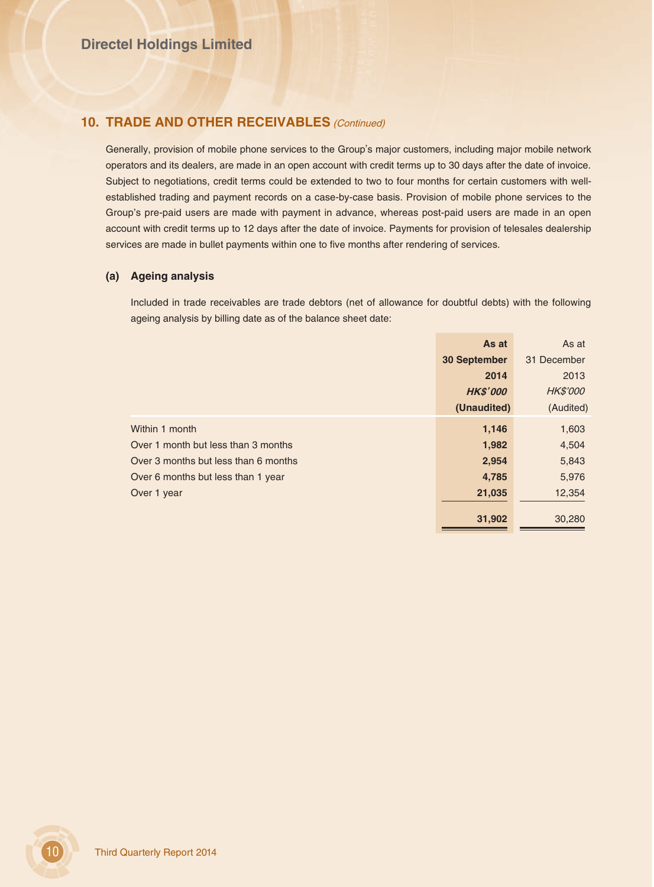### **10. TRADE AND OTHER RECEIVABLES** (Continued)

Generally, provision of mobile phone services to the Group's major customers, including major mobile network operators and its dealers, are made in an open account with credit terms up to 30 days after the date of invoice. Subject to negotiations, credit terms could be extended to two to four months for certain customers with wellestablished trading and payment records on a case-by-case basis. Provision of mobile phone services to the Group's pre-paid users are made with payment in advance, whereas post-paid users are made in an open account with credit terms up to 12 days after the date of invoice. Payments for provision of telesales dealership services are made in bullet payments within one to five months after rendering of services.

### **(a) Ageing analysis**

Included in trade receivables are trade debtors (net of allowance for doubtful debts) with the following ageing analysis by billing date as of the balance sheet date:

|                                      | As at               | As at           |
|--------------------------------------|---------------------|-----------------|
|                                      | <b>30 September</b> | 31 December     |
|                                      | 2014                | 2013            |
|                                      | <b>HK\$'000</b>     | <b>HK\$'000</b> |
|                                      | (Unaudited)         | (Audited)       |
| Within 1 month                       | 1,146               | 1,603           |
| Over 1 month but less than 3 months  | 1,982               | 4,504           |
| Over 3 months but less than 6 months | 2,954               | 5,843           |
| Over 6 months but less than 1 year   | 4,785               | 5,976           |
| Over 1 year                          | 21,035              | 12,354          |
|                                      |                     |                 |
|                                      | 31,902              | 30,280          |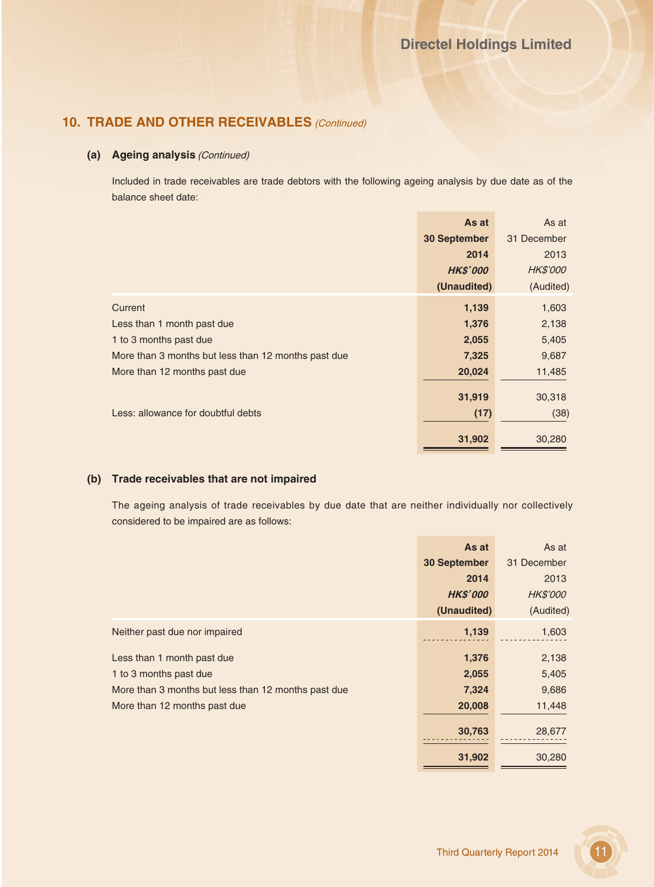## **10. TRADE AND OTHER RECEIVABLES** (Continued)

### **(a) Ageing analysis** (Continued)

Included in trade receivables are trade debtors with the following ageing analysis by due date as of the balance sheet date:

|                                                     | As at               | As at           |
|-----------------------------------------------------|---------------------|-----------------|
|                                                     | <b>30 September</b> | 31 December     |
|                                                     | 2014                | 2013            |
|                                                     | <b>HK\$'000</b>     | <b>HK\$'000</b> |
|                                                     | (Unaudited)         | (Audited)       |
| Current                                             | 1,139               | 1,603           |
| Less than 1 month past due                          | 1,376               | 2,138           |
| 1 to 3 months past due                              | 2,055               | 5,405           |
| More than 3 months but less than 12 months past due | 7,325               | 9,687           |
| More than 12 months past due                        | 20,024              | 11,485          |
|                                                     |                     |                 |
|                                                     | 31,919              | 30,318          |
| Less: allowance for doubtful debts                  | (17)                | (38)            |
|                                                     | 31,902              | 30,280          |

### **(b) Trade receivables that are not impaired**

The ageing analysis of trade receivables by due date that are neither individually nor collectively considered to be impaired are as follows:

|                                                     | As at               | As at           |
|-----------------------------------------------------|---------------------|-----------------|
|                                                     | <b>30 September</b> | 31 December     |
|                                                     | 2014                | 2013            |
|                                                     | <b>HK\$'000</b>     | <b>HK\$'000</b> |
|                                                     | (Unaudited)         | (Audited)       |
| Neither past due nor impaired                       | 1,139               | 1,603           |
| Less than 1 month past due                          | 1,376               | 2,138           |
| 1 to 3 months past due                              | 2,055               | 5,405           |
| More than 3 months but less than 12 months past due | 7,324               | 9,686           |
| More than 12 months past due                        | 20,008              | 11,448          |
|                                                     | 30,763              | 28,677          |
|                                                     |                     |                 |
|                                                     | 31,902              | 30,280          |

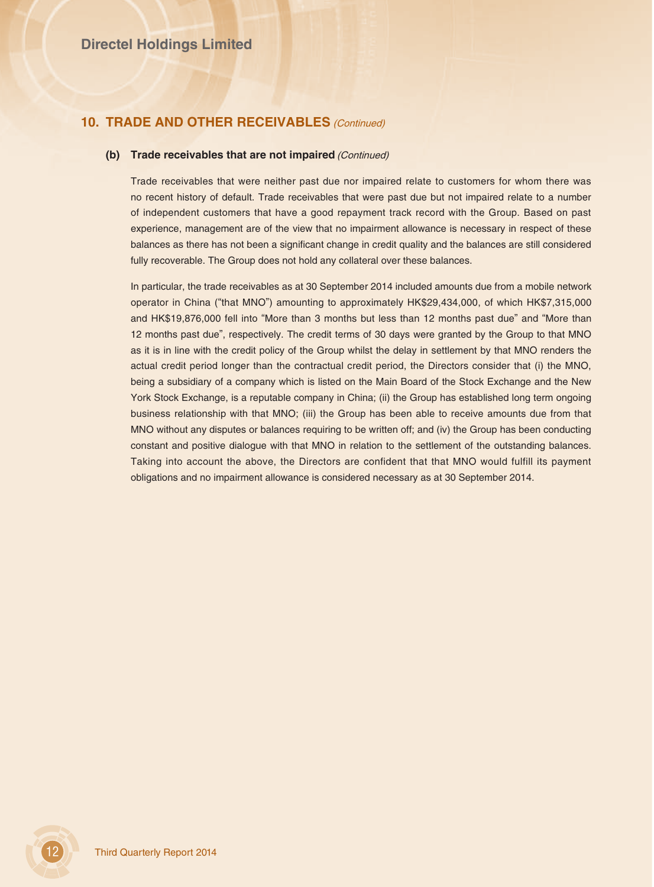## **10. TRADE AND OTHER RECEIVABLES** (Continued)

#### **(b) Trade receivables that are not impaired** (Continued)

Trade receivables that were neither past due nor impaired relate to customers for whom there was no recent history of default. Trade receivables that were past due but not impaired relate to a number of independent customers that have a good repayment track record with the Group. Based on past experience, management are of the view that no impairment allowance is necessary in respect of these balances as there has not been a significant change in credit quality and the balances are still considered fully recoverable. The Group does not hold any collateral over these balances.

In particular, the trade receivables as at 30 September 2014 included amounts due from a mobile network operator in China ("that MNO") amounting to approximately HK\$29,434,000, of which HK\$7,315,000 and HK\$19,876,000 fell into "More than 3 months but less than 12 months past due" and "More than 12 months past due", respectively. The credit terms of 30 days were granted by the Group to that MNO as it is in line with the credit policy of the Group whilst the delay in settlement by that MNO renders the actual credit period longer than the contractual credit period, the Directors consider that (i) the MNO, being a subsidiary of a company which is listed on the Main Board of the Stock Exchange and the New York Stock Exchange, is a reputable company in China; (ii) the Group has established long term ongoing business relationship with that MNO; (iii) the Group has been able to receive amounts due from that MNO without any disputes or balances requiring to be written off; and (iv) the Group has been conducting constant and positive dialogue with that MNO in relation to the settlement of the outstanding balances. Taking into account the above, the Directors are confident that that MNO would fulfill its payment obligations and no impairment allowance is considered necessary as at 30 September 2014.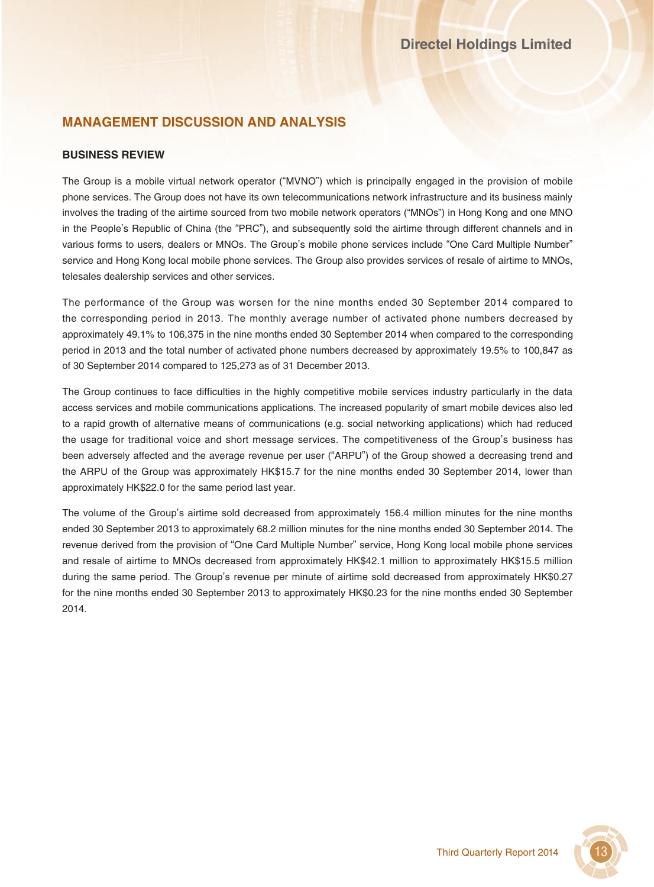# **MANAGEMENT DISCUSSION AND ANALYSIS**

### **BUSINESS REVIEW**

The Group is a mobile virtual network operator ("MVNO") which is principally engaged in the provision of mobile phone services. The Group does not have its own telecommunications network infrastructure and its business mainly involves the trading of the airtime sourced from two mobile network operators ("MNOs") in Hong Kong and one MNO in the People's Republic of China (the "PRC"), and subsequently sold the airtime through different channels and in various forms to users, dealers or MNOs. The Group's mobile phone services include "One Card Multiple Number" service and Hong Kong local mobile phone services. The Group also provides services of resale of airtime to MNOs, telesales dealership services and other services.

The performance of the Group was worsen for the nine months ended 30 September 2014 compared to the corresponding period in 2013. The monthly average number of activated phone numbers decreased by approximately 49.1% to 106,375 in the nine months ended 30 September 2014 when compared to the corresponding period in 2013 and the total number of activated phone numbers decreased by approximately 19.5% to 100,847 as of 30 September 2014 compared to 125,273 as of 31 December 2013.

The Group continues to face difficulties in the highly competitive mobile services industry particularly in the data access services and mobile communications applications. The increased popularity of smart mobile devices also led to a rapid growth of alternative means of communications (e.g. social networking applications) which had reduced the usage for traditional voice and short message services. The competitiveness of the Group's business has been adversely affected and the average revenue per user ("ARPU") of the Group showed a decreasing trend and the ARPU of the Group was approximately HK\$15.7 for the nine months ended 30 September 2014, lower than approximately HK\$22.0 for the same period last year.

The volume of the Group's airtime sold decreased from approximately 156.4 million minutes for the nine months ended 30 September 2013 to approximately 68.2 million minutes for the nine months ended 30 September 2014. The revenue derived from the provision of "One Card Multiple Number" service, Hong Kong local mobile phone services and resale of airtime to MNOs decreased from approximately HK\$42.1 million to approximately HK\$15.5 million during the same period. The Group's revenue per minute of airtime sold decreased from approximately HK\$0.27 for the nine months ended 30 September 2013 to approximately HK\$0.23 for the nine months ended 30 September 2014.

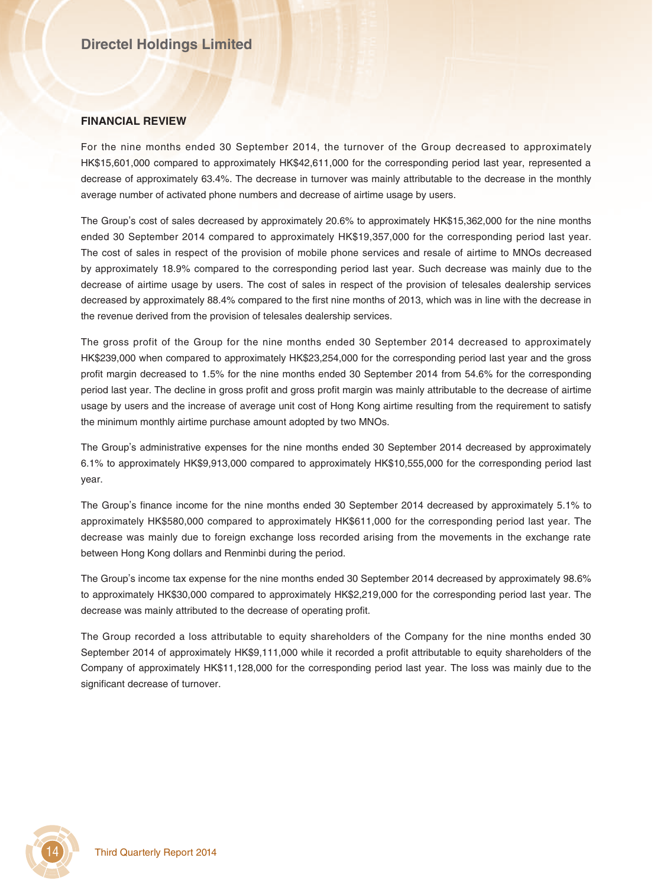#### **FINANCIAL REVIEW**

For the nine months ended 30 September 2014, the turnover of the Group decreased to approximately HK\$15,601,000 compared to approximately HK\$42,611,000 for the corresponding period last year, represented a decrease of approximately 63.4%. The decrease in turnover was mainly attributable to the decrease in the monthly average number of activated phone numbers and decrease of airtime usage by users.

The Group's cost of sales decreased by approximately 20.6% to approximately HK\$15,362,000 for the nine months ended 30 September 2014 compared to approximately HK\$19,357,000 for the corresponding period last year. The cost of sales in respect of the provision of mobile phone services and resale of airtime to MNOs decreased by approximately 18.9% compared to the corresponding period last year. Such decrease was mainly due to the decrease of airtime usage by users. The cost of sales in respect of the provision of telesales dealership services decreased by approximately 88.4% compared to the first nine months of 2013, which was in line with the decrease in the revenue derived from the provision of telesales dealership services.

The gross profit of the Group for the nine months ended 30 September 2014 decreased to approximately HK\$239,000 when compared to approximately HK\$23,254,000 for the corresponding period last year and the gross profit margin decreased to 1.5% for the nine months ended 30 September 2014 from 54.6% for the corresponding period last year. The decline in gross profit and gross profit margin was mainly attributable to the decrease of airtime usage by users and the increase of average unit cost of Hong Kong airtime resulting from the requirement to satisfy the minimum monthly airtime purchase amount adopted by two MNOs.

The Group's administrative expenses for the nine months ended 30 September 2014 decreased by approximately 6.1% to approximately HK\$9,913,000 compared to approximately HK\$10,555,000 for the corresponding period last year.

The Group's finance income for the nine months ended 30 September 2014 decreased by approximately 5.1% to approximately HK\$580,000 compared to approximately HK\$611,000 for the corresponding period last year. The decrease was mainly due to foreign exchange loss recorded arising from the movements in the exchange rate between Hong Kong dollars and Renminbi during the period.

The Group's income tax expense for the nine months ended 30 September 2014 decreased by approximately 98.6% to approximately HK\$30,000 compared to approximately HK\$2,219,000 for the corresponding period last year. The decrease was mainly attributed to the decrease of operating profit.

The Group recorded a loss attributable to equity shareholders of the Company for the nine months ended 30 September 2014 of approximately HK\$9,111,000 while it recorded a profit attributable to equity shareholders of the Company of approximately HK\$11,128,000 for the corresponding period last year. The loss was mainly due to the significant decrease of turnover.

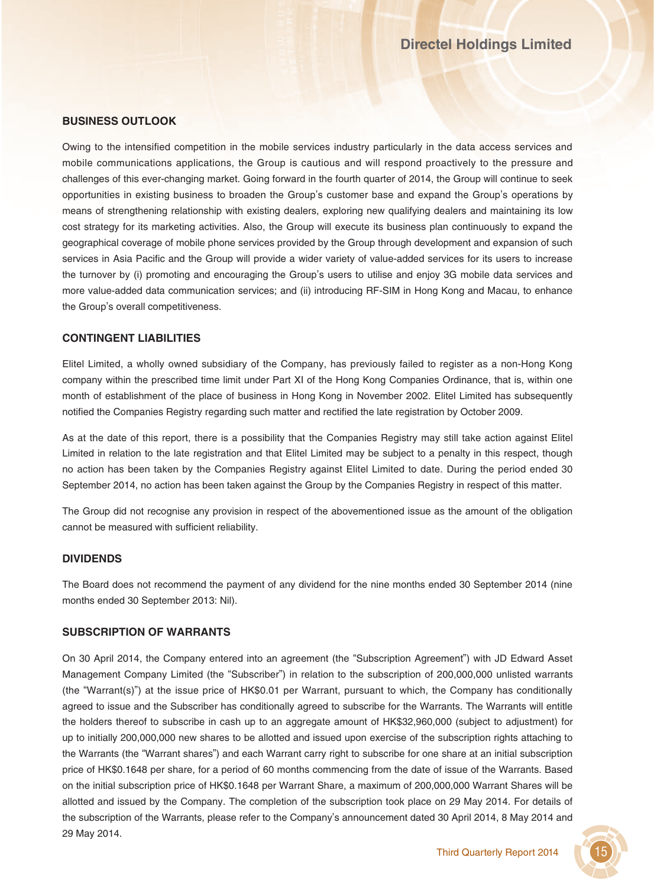### **BUSINESS OUTLOOK**

Owing to the intensified competition in the mobile services industry particularly in the data access services and mobile communications applications, the Group is cautious and will respond proactively to the pressure and challenges of this ever-changing market. Going forward in the fourth quarter of 2014, the Group will continue to seek opportunities in existing business to broaden the Group's customer base and expand the Group's operations by means of strengthening relationship with existing dealers, exploring new qualifying dealers and maintaining its low cost strategy for its marketing activities. Also, the Group will execute its business plan continuously to expand the geographical coverage of mobile phone services provided by the Group through development and expansion of such services in Asia Pacific and the Group will provide a wider variety of value-added services for its users to increase the turnover by (i) promoting and encouraging the Group's users to utilise and enjoy 3G mobile data services and more value-added data communication services; and (ii) introducing RF-SIM in Hong Kong and Macau, to enhance the Group's overall competitiveness.

### **CONTINGENT LIABILITIES**

Elitel Limited, a wholly owned subsidiary of the Company, has previously failed to register as a non-Hong Kong company within the prescribed time limit under Part XI of the Hong Kong Companies Ordinance, that is, within one month of establishment of the place of business in Hong Kong in November 2002. Elitel Limited has subsequently notified the Companies Registry regarding such matter and rectified the late registration by October 2009.

As at the date of this report, there is a possibility that the Companies Registry may still take action against Elitel Limited in relation to the late registration and that Elitel Limited may be subject to a penalty in this respect, though no action has been taken by the Companies Registry against Elitel Limited to date. During the period ended 30 September 2014, no action has been taken against the Group by the Companies Registry in respect of this matter.

The Group did not recognise any provision in respect of the abovementioned issue as the amount of the obligation cannot be measured with sufficient reliability.

#### **DIVIDENDS**

The Board does not recommend the payment of any dividend for the nine months ended 30 September 2014 (nine months ended 30 September 2013: Nil).

#### **SUBSCRIPTION OF WARRANTS**

On 30 April 2014, the Company entered into an agreement (the "Subscription Agreement") with JD Edward Asset Management Company Limited (the "Subscriber") in relation to the subscription of 200,000,000 unlisted warrants (the "Warrant(s)") at the issue price of HK\$0.01 per Warrant, pursuant to which, the Company has conditionally agreed to issue and the Subscriber has conditionally agreed to subscribe for the Warrants. The Warrants will entitle the holders thereof to subscribe in cash up to an aggregate amount of HK\$32,960,000 (subject to adjustment) for up to initially 200,000,000 new shares to be allotted and issued upon exercise of the subscription rights attaching to the Warrants (the "Warrant shares") and each Warrant carry right to subscribe for one share at an initial subscription price of HK\$0.1648 per share, for a period of 60 months commencing from the date of issue of the Warrants. Based on the initial subscription price of HK\$0.1648 per Warrant Share, a maximum of 200,000,000 Warrant Shares will be allotted and issued by the Company. The completion of the subscription took place on 29 May 2014. For details of the subscription of the Warrants, please refer to the Company's announcement dated 30 April 2014, 8 May 2014 and 29 May 2014.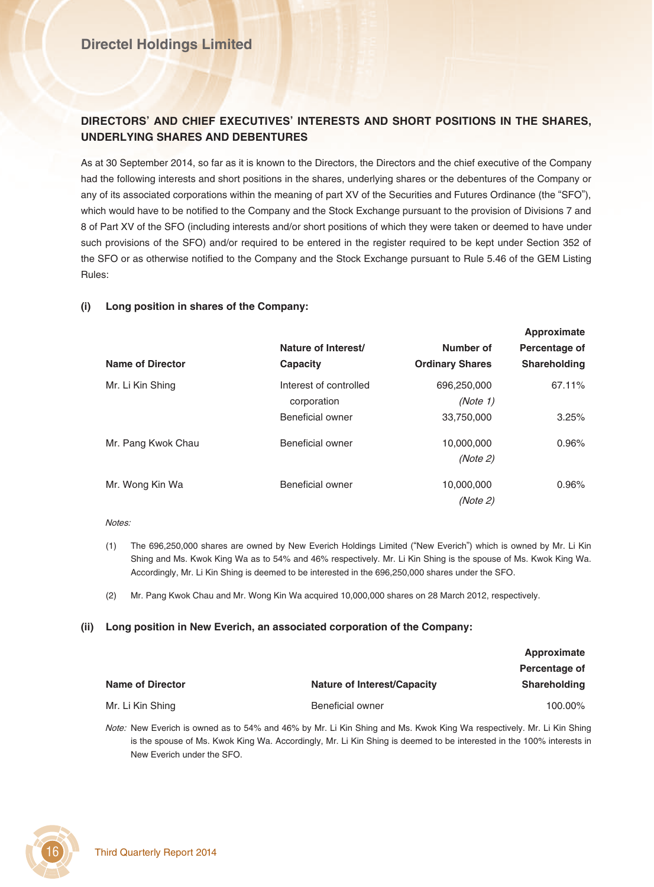## **Directel Holdings Limited**

### **DIRECTORS' AND CHIEF EXECUTIVES' INTERESTS AND SHORT POSITIONS IN THE SHARES, UNDERLYING SHARES AND DEBENTURES**

As at 30 September 2014, so far as it is known to the Directors, the Directors and the chief executive of the Company had the following interests and short positions in the shares, underlying shares or the debentures of the Company or any of its associated corporations within the meaning of part XV of the Securities and Futures Ordinance (the "SFO"), which would have to be notified to the Company and the Stock Exchange pursuant to the provision of Divisions 7 and 8 of Part XV of the SFO (including interests and/or short positions of which they were taken or deemed to have under such provisions of the SFO) and/or required to be entered in the register required to be kept under Section 352 of the SFO or as otherwise notified to the Company and the Stock Exchange pursuant to Rule 5.46 of the GEM Listing Rules:

### **(i) Long position in shares of the Company:**

|                         | Nature of Interest/    | Number of              | Percentage of       |
|-------------------------|------------------------|------------------------|---------------------|
| <b>Name of Director</b> | Capacity               | <b>Ordinary Shares</b> | <b>Shareholding</b> |
| Mr. Li Kin Shing        | Interest of controlled | 696,250,000            | 67.11%              |
|                         | corporation            | (Note 1)               |                     |
|                         | Beneficial owner       | 33,750,000             | 3.25%               |
| Mr. Pang Kwok Chau      | Beneficial owner       | 10,000,000             | 0.96%               |
|                         |                        | (Note 2)               |                     |
| Mr. Wong Kin Wa         | Beneficial owner       | 10,000,000             | 0.96%               |
|                         |                        | (Note 2)               |                     |

**Approximate**

#### Notes:

- (1) The 696,250,000 shares are owned by New Everich Holdings Limited ("New Everich") which is owned by Mr. Li Kin Shing and Ms. Kwok King Wa as to 54% and 46% respectively. Mr. Li Kin Shing is the spouse of Ms. Kwok King Wa. Accordingly, Mr. Li Kin Shing is deemed to be interested in the 696,250,000 shares under the SFO.
- (2) Mr. Pang Kwok Chau and Mr. Wong Kin Wa acquired 10,000,000 shares on 28 March 2012, respectively.

#### **(ii) Long position in New Everich, an associated corporation of the Company:**

|                         |                                    | Approximate         |
|-------------------------|------------------------------------|---------------------|
|                         |                                    | Percentage of       |
| <b>Name of Director</b> | <b>Nature of Interest/Capacity</b> | <b>Shareholding</b> |
| Mr. Li Kin Shing        | Beneficial owner                   | 100.00%             |

Note: New Everich is owned as to 54% and 46% by Mr. Li Kin Shing and Ms. Kwok King Wa respectively. Mr. Li Kin Shing is the spouse of Ms. Kwok King Wa. Accordingly, Mr. Li Kin Shing is deemed to be interested in the 100% interests in New Everich under the SFO.

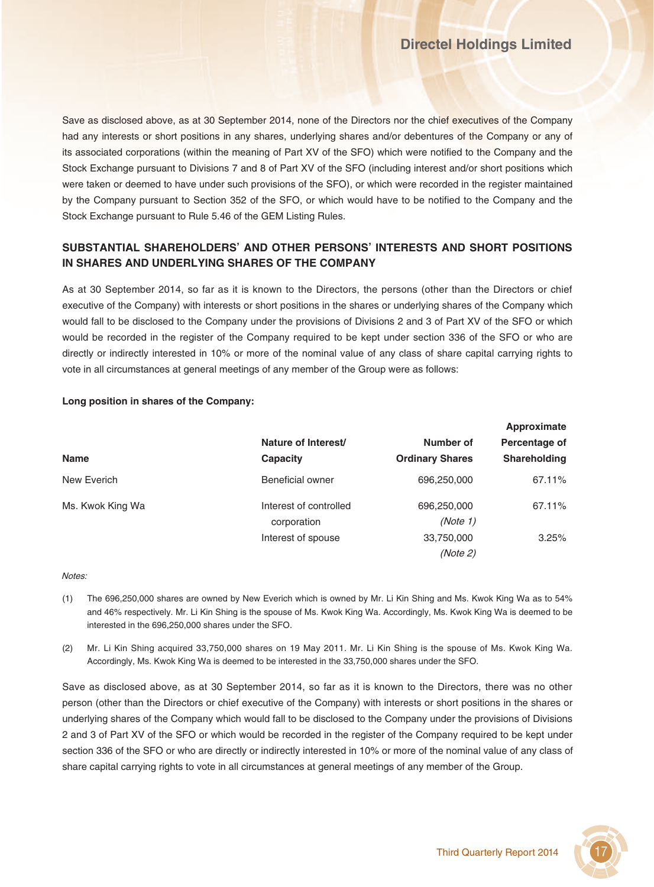Save as disclosed above, as at 30 September 2014, none of the Directors nor the chief executives of the Company had any interests or short positions in any shares, underlying shares and/or debentures of the Company or any of its associated corporations (within the meaning of Part XV of the SFO) which were notified to the Company and the Stock Exchange pursuant to Divisions 7 and 8 of Part XV of the SFO (including interest and/or short positions which were taken or deemed to have under such provisions of the SFO), or which were recorded in the register maintained by the Company pursuant to Section 352 of the SFO, or which would have to be notified to the Company and the Stock Exchange pursuant to Rule 5.46 of the GEM Listing Rules.

## **SUBSTANTIAL SHAREHOLDERS' AND OTHER PERSONS' INTERESTS AND SHORT POSITIONS IN SHARES AND UNDERLYING SHARES OF THE COMPANY**

As at 30 September 2014, so far as it is known to the Directors, the persons (other than the Directors or chief executive of the Company) with interests or short positions in the shares or underlying shares of the Company which would fall to be disclosed to the Company under the provisions of Divisions 2 and 3 of Part XV of the SFO or which would be recorded in the register of the Company required to be kept under section 336 of the SFO or who are directly or indirectly interested in 10% or more of the nominal value of any class of share capital carrying rights to vote in all circumstances at general meetings of any member of the Group were as follows:

### **Long position in shares of the Company:**

|                  | Nature of Interest/<br>Capacity |                                     | <b>Approximate</b>            |             |
|------------------|---------------------------------|-------------------------------------|-------------------------------|-------------|
| Name             |                                 | Number of<br><b>Ordinary Shares</b> | Percentage of<br>Shareholding |             |
|                  |                                 |                                     |                               | New Everich |
| Ms. Kwok King Wa | Interest of controlled          | 696,250,000                         | 67.11%                        |             |
|                  | corporation                     | (Note 1)                            |                               |             |
|                  | Interest of spouse              | 33,750,000                          | 3.25%                         |             |
|                  |                                 | (Note 2)                            |                               |             |

#### Notes:

- (1) The 696,250,000 shares are owned by New Everich which is owned by Mr. Li Kin Shing and Ms. Kwok King Wa as to 54% and 46% respectively. Mr. Li Kin Shing is the spouse of Ms. Kwok King Wa. Accordingly, Ms. Kwok King Wa is deemed to be interested in the 696,250,000 shares under the SFO.
- (2) Mr. Li Kin Shing acquired 33,750,000 shares on 19 May 2011. Mr. Li Kin Shing is the spouse of Ms. Kwok King Wa. Accordingly, Ms. Kwok King Wa is deemed to be interested in the 33,750,000 shares under the SFO.

Save as disclosed above, as at 30 September 2014, so far as it is known to the Directors, there was no other person (other than the Directors or chief executive of the Company) with interests or short positions in the shares or underlying shares of the Company which would fall to be disclosed to the Company under the provisions of Divisions 2 and 3 of Part XV of the SFO or which would be recorded in the register of the Company required to be kept under section 336 of the SFO or who are directly or indirectly interested in 10% or more of the nominal value of any class of share capital carrying rights to vote in all circumstances at general meetings of any member of the Group.

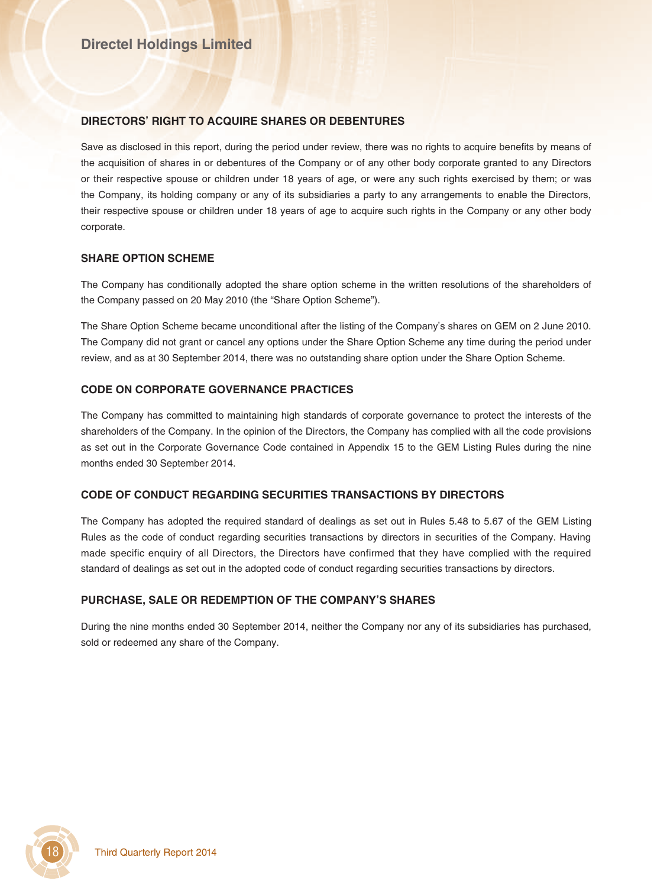### **DIRECTORS' RIGHT TO ACQUIRE SHARES OR DEBENTURES**

Save as disclosed in this report, during the period under review, there was no rights to acquire benefits by means of the acquisition of shares in or debentures of the Company or of any other body corporate granted to any Directors or their respective spouse or children under 18 years of age, or were any such rights exercised by them; or was the Company, its holding company or any of its subsidiaries a party to any arrangements to enable the Directors, their respective spouse or children under 18 years of age to acquire such rights in the Company or any other body corporate.

### **SHARE OPTION SCHEME**

The Company has conditionally adopted the share option scheme in the written resolutions of the shareholders of the Company passed on 20 May 2010 (the "Share Option Scheme").

The Share Option Scheme became unconditional after the listing of the Company's shares on GEM on 2 June 2010. The Company did not grant or cancel any options under the Share Option Scheme any time during the period under review, and as at 30 September 2014, there was no outstanding share option under the Share Option Scheme.

### **CODE ON CORPORATE GOVERNANCE PRACTICES**

The Company has committed to maintaining high standards of corporate governance to protect the interests of the shareholders of the Company. In the opinion of the Directors, the Company has complied with all the code provisions as set out in the Corporate Governance Code contained in Appendix 15 to the GEM Listing Rules during the nine months ended 30 September 2014.

### **CODE OF CONDUCT REGARDING SECURITIES TRANSACTIONS BY DIRECTORS**

The Company has adopted the required standard of dealings as set out in Rules 5.48 to 5.67 of the GEM Listing Rules as the code of conduct regarding securities transactions by directors in securities of the Company. Having made specific enquiry of all Directors, the Directors have confirmed that they have complied with the required standard of dealings as set out in the adopted code of conduct regarding securities transactions by directors.

### **PURCHASE, SALE OR REDEMPTION OF THE COMPANY'S SHARES**

During the nine months ended 30 September 2014, neither the Company nor any of its subsidiaries has purchased, sold or redeemed any share of the Company.

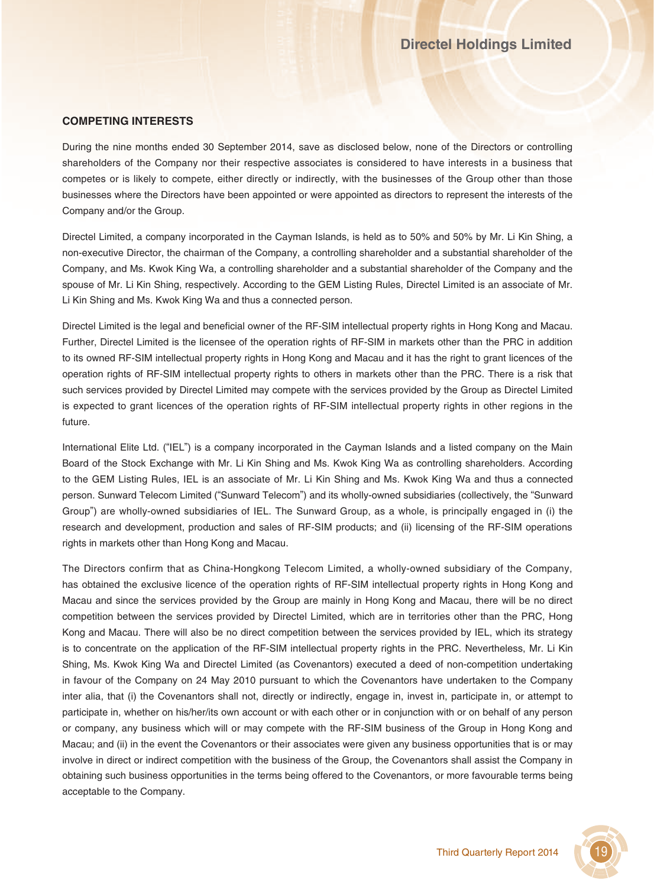### **COMPETING INTERESTS**

During the nine months ended 30 September 2014, save as disclosed below, none of the Directors or controlling shareholders of the Company nor their respective associates is considered to have interests in a business that competes or is likely to compete, either directly or indirectly, with the businesses of the Group other than those businesses where the Directors have been appointed or were appointed as directors to represent the interests of the Company and/or the Group.

Directel Limited, a company incorporated in the Cayman Islands, is held as to 50% and 50% by Mr. Li Kin Shing, a non-executive Director, the chairman of the Company, a controlling shareholder and a substantial shareholder of the Company, and Ms. Kwok King Wa, a controlling shareholder and a substantial shareholder of the Company and the spouse of Mr. Li Kin Shing, respectively. According to the GEM Listing Rules, Directel Limited is an associate of Mr. Li Kin Shing and Ms. Kwok King Wa and thus a connected person.

Directel Limited is the legal and beneficial owner of the RF-SIM intellectual property rights in Hong Kong and Macau. Further, Directel Limited is the licensee of the operation rights of RF-SIM in markets other than the PRC in addition to its owned RF-SIM intellectual property rights in Hong Kong and Macau and it has the right to grant licences of the operation rights of RF-SIM intellectual property rights to others in markets other than the PRC. There is a risk that such services provided by Directel Limited may compete with the services provided by the Group as Directel Limited is expected to grant licences of the operation rights of RF-SIM intellectual property rights in other regions in the future.

International Elite Ltd. ("IEL") is a company incorporated in the Cayman Islands and a listed company on the Main Board of the Stock Exchange with Mr. Li Kin Shing and Ms. Kwok King Wa as controlling shareholders. According to the GEM Listing Rules, IEL is an associate of Mr. Li Kin Shing and Ms. Kwok King Wa and thus a connected person. Sunward Telecom Limited ("Sunward Telecom") and its wholly-owned subsidiaries (collectively, the "Sunward Group") are wholly-owned subsidiaries of IEL. The Sunward Group, as a whole, is principally engaged in (i) the research and development, production and sales of RF-SIM products; and (ii) licensing of the RF-SIM operations rights in markets other than Hong Kong and Macau.

The Directors confirm that as China-Hongkong Telecom Limited, a wholly-owned subsidiary of the Company, has obtained the exclusive licence of the operation rights of RF-SIM intellectual property rights in Hong Kong and Macau and since the services provided by the Group are mainly in Hong Kong and Macau, there will be no direct competition between the services provided by Directel Limited, which are in territories other than the PRC, Hong Kong and Macau. There will also be no direct competition between the services provided by IEL, which its strategy is to concentrate on the application of the RF-SIM intellectual property rights in the PRC. Nevertheless, Mr. Li Kin Shing, Ms. Kwok King Wa and Directel Limited (as Covenantors) executed a deed of non-competition undertaking in favour of the Company on 24 May 2010 pursuant to which the Covenantors have undertaken to the Company inter alia, that (i) the Covenantors shall not, directly or indirectly, engage in, invest in, participate in, or attempt to participate in, whether on his/her/its own account or with each other or in conjunction with or on behalf of any person or company, any business which will or may compete with the RF-SIM business of the Group in Hong Kong and Macau; and (ii) in the event the Covenantors or their associates were given any business opportunities that is or may involve in direct or indirect competition with the business of the Group, the Covenantors shall assist the Company in obtaining such business opportunities in the terms being offered to the Covenantors, or more favourable terms being acceptable to the Company.